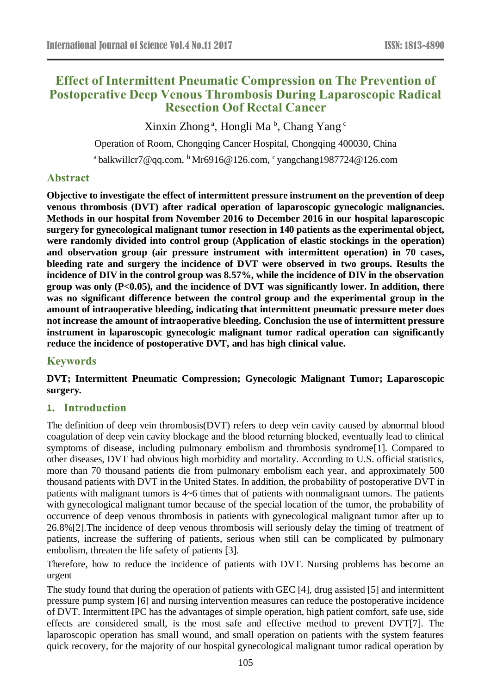# **Effect of Intermittent Pneumatic Compression on The Prevention of Postoperative Deep Venous Thrombosis During Laparoscopic Radical Resection Oof Rectal Cancer**

Xinxin Zhong<sup>a</sup>, Hongli Ma<sup>b</sup>, Chang Yang<sup>c</sup>

Operation of Room, Chongqing Cancer Hospital, Chongqing 400030, China

<sup>a</sup> balkwillcr7@qq.com, <sup>b</sup>Mr6916@126.com, <sup>c</sup> yangchang1987724@126.com

## **Abstract**

**Objective to investigate the effect of intermittent pressure instrument on the prevention of deep venous thrombosis (DVT) after radical operation of laparoscopic gynecologic malignancies. Methods in our hospital from November 2016 to December 2016 in our hospital laparoscopic surgery for gynecological malignant tumor resection in 140 patients as the experimental object, were randomly divided into control group (Application of elastic stockings in the operation) and observation group (air pressure instrument with intermittent operation) in 70 cases, bleeding rate and surgery the incidence of DVT were observed in two groups. Results the incidence of DIV in the control group was 8.57%, while the incidence of DIV in the observation group was only (P<0.05), and the incidence of DVT was significantly lower. In addition, there was no significant difference between the control group and the experimental group in the amount of intraoperative bleeding, indicating that intermittent pneumatic pressure meter does not increase the amount of intraoperative bleeding. Conclusion the use of intermittent pressure instrument in laparoscopic gynecologic malignant tumor radical operation can significantly reduce the incidence of postoperative DVT, and has high clinical value.**

## **Keywords**

**DVT; Intermittent Pneumatic Compression; Gynecologic Malignant Tumor; Laparoscopic surgery.**

## **1. Introduction**

The definition of deep vein thrombosis(DVT) refers to deep vein cavity caused by abnormal blood coagulation of deep vein cavity blockage and the blood returning blocked, eventually lead to clinical symptoms of disease, including pulmonary embolism and thrombosis syndrome<sup>[1]</sup>. Compared to other diseases, DVT had obvious high morbidity and mortality. According to U.S. official statistics, more than 70 thousand patients die from pulmonary embolism each year, and approximately 500 thousand patients with DVT in the United States. In addition, the probability of postoperative DVT in patients with malignant tumors is 4~6 times that of patients with nonmalignant tumors. The patients with gynecological malignant tumor because of the special location of the tumor, the probability of occurrence of deep venous thrombosis in patients with gynecological malignant tumor after up to 26.8%[2].The incidence of deep venous thrombosis will seriously delay the timing of treatment of patients, increase the suffering of patients, serious when still can be complicated by pulmonary embolism, threaten the life safety of patients [3].

Therefore, how to reduce the incidence of patients with DVT. Nursing problems has become an urgent

The study found that during the operation of patients with GEC [4], drug assisted [5] and intermittent pressure pump system [6] and nursing intervention measures can reduce the postoperative incidence of DVT. Intermittent IPC has the advantages of simple operation, high patient comfort, safe use, side effects are considered small, is the most safe and effective method to prevent DVT[7]. The laparoscopic operation has small wound, and small operation on patients with the system features quick recovery, for the majority of our hospital gynecological malignant tumor radical operation by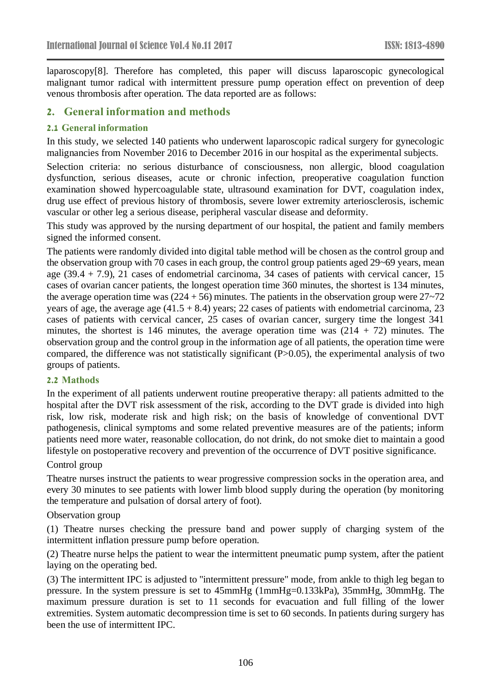laparoscopy[8]. Therefore has completed, this paper will discuss laparoscopic gynecological malignant tumor radical with intermittent pressure pump operation effect on prevention of deep venous thrombosis after operation. The data reported are as follows:

## **2. General information and methods**

#### **2.1 General information**

In this study, we selected 140 patients who underwent laparoscopic radical surgery for gynecologic malignancies from November 2016 to December 2016 in our hospital as the experimental subjects.

Selection criteria: no serious disturbance of consciousness, non allergic, blood coagulation dysfunction, serious diseases, acute or chronic infection, preoperative coagulation function examination showed hypercoagulable state, ultrasound examination for DVT, coagulation index, drug use effect of previous history of thrombosis, severe lower extremity arteriosclerosis, ischemic vascular or other leg a serious disease, peripheral vascular disease and deformity.

This study was approved by the nursing department of our hospital, the patient and family members signed the informed consent.

The patients were randomly divided into digital table method will be chosen as the control group and the observation group with 70 cases in each group, the control group patients aged 29~69 years, mean age (39.4 + 7.9), 21 cases of endometrial carcinoma, 34 cases of patients with cervical cancer, 15 cases of ovarian cancer patients, the longest operation time 360 minutes, the shortest is 134 minutes, the average operation time was  $(224 + 56)$  minutes. The patients in the observation group were  $27~-72$ years of age, the average age  $(41.5 + 8.4)$  years; 22 cases of patients with endometrial carcinoma, 23 cases of patients with cervical cancer, 25 cases of ovarian cancer, surgery time the longest 341 minutes, the shortest is 146 minutes, the average operation time was  $(214 + 72)$  minutes. The observation group and the control group in the information age of all patients, the operation time were compared, the difference was not statistically significant (P>0.05), the experimental analysis of two groups of patients.

#### **2.2 Mathods**

In the experiment of all patients underwent routine preoperative therapy: all patients admitted to the hospital after the DVT risk assessment of the risk, according to the DVT grade is divided into high risk, low risk, moderate risk and high risk; on the basis of knowledge of conventional DVT pathogenesis, clinical symptoms and some related preventive measures are of the patients; inform patients need more water, reasonable collocation, do not drink, do not smoke diet to maintain a good lifestyle on postoperative recovery and prevention of the occurrence of DVT positive significance.

#### Control group

Theatre nurses instruct the patients to wear progressive compression socks in the operation area, and every 30 minutes to see patients with lower limb blood supply during the operation (by monitoring the temperature and pulsation of dorsal artery of foot).

#### Observation group

(1) Theatre nurses checking the pressure band and power supply of charging system of the intermittent inflation pressure pump before operation.

(2) Theatre nurse helps the patient to wear the intermittent pneumatic pump system, after the patient laying on the operating bed.

(3) The intermittent IPC is adjusted to "intermittent pressure" mode, from ankle to thigh leg began to pressure. In the system pressure is set to 45mmHg (1mmHg=0.133kPa), 35mmHg, 30mmHg. The maximum pressure duration is set to 11 seconds for evacuation and full filling of the lower extremities. System automatic decompression time is set to 60 seconds. In patients during surgery has been the use of intermittent IPC.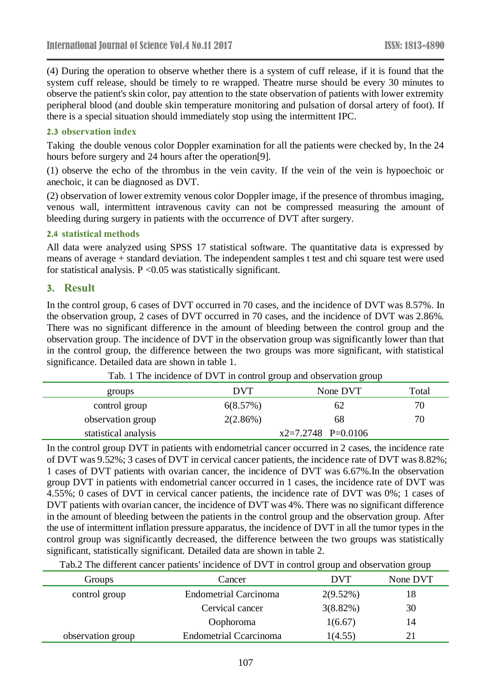(4) During the operation to observe whether there is a system of cuff release, if it is found that the system cuff release, should be timely to re wrapped. Theatre nurse should be every 30 minutes to observe the patient's skin color, pay attention to the state observation of patients with lower extremity peripheral blood (and double skin temperature monitoring and pulsation of dorsal artery of foot). If there is a special situation should immediately stop using the intermittent IPC.

#### **2.3 observation index**

Taking the double venous color Doppler examination for all the patients were checked by, In the 24 hours before surgery and 24 hours after the operation[9].

(1) observe the echo of the thrombus in the vein cavity. If the vein of the vein is hypoechoic or anechoic, it can be diagnosed as DVT.

(2) observation of lower extremity venous color Doppler image, if the presence of thrombus imaging, venous wall, intermittent intravenous cavity can not be compressed measuring the amount of bleeding during surgery in patients with the occurrence of DVT after surgery.

#### **2.4 statistical methods**

All data were analyzed using SPSS 17 statistical software. The quantitative data is expressed by means of average + standard deviation. The independent samples t test and chi square test were used for statistical analysis.  $P \le 0.05$  was statistically significant.

#### **3. Result**

In the control group, 6 cases of DVT occurred in 70 cases, and the incidence of DVT was 8.57%. In the observation group, 2 cases of DVT occurred in 70 cases, and the incidence of DVT was 2.86%. There was no significant difference in the amount of bleeding between the control group and the observation group. The incidence of DVT in the observation group was significantly lower than that in the control group, the difference between the two groups was more significant, with statistical significance. Detailed data are shown in table 1.

| groups               | <b>DVT</b>           | None DVT | Total |
|----------------------|----------------------|----------|-------|
| control group        | 6(8.57%)             | 62       | 70    |
| observation group    | 2(2.86%)             | 68       | 70    |
| statistical analysis | $x2=7.2748$ P=0.0106 |          |       |

Tab. 1 The incidence of DVT in control group and observation group

In the control group DVT in patients with endometrial cancer occurred in 2 cases, the incidence rate of DVT was 9.52%; 3 cases of DVT in cervical cancer patients, the incidence rate of DVT was 8.82%; 1 cases of DVT patients with ovarian cancer, the incidence of DVT was 6.67%.In the observation group DVT in patients with endometrial cancer occurred in 1 cases, the incidence rate of DVT was 4.55%; 0 cases of DVT in cervical cancer patients, the incidence rate of DVT was 0%; 1 cases of DVT patients with ovarian cancer, the incidence of DVT was 4%. There was no significant difference in the amount of bleeding between the patients in the control group and the observation group. After the use of intermittent inflation pressure apparatus, the incidence of DVT in all the tumor types in the control group was significantly decreased, the difference between the two groups was statistically significant, statistically significant. Detailed data are shown in table 2.

Tab.2 The different cancer patients' incidence of DVT in control group and observation group

| Groups            | Cancer                        | DVT         | None DVT |
|-------------------|-------------------------------|-------------|----------|
| control group     | <b>Endometrial Carcinoma</b>  | $2(9.52\%)$ | 18       |
|                   | Cervical cancer               | $3(8.82\%)$ | 30       |
|                   | Oophoroma                     | 1(6.67)     | 14       |
| observation group | <b>Endometrial Ccarcinoma</b> | 1(4.55)     |          |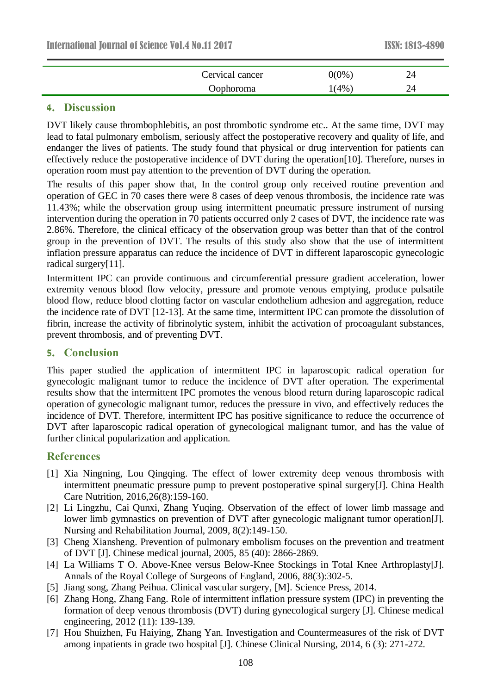| Cervical cancer | $0(0\%)$ | 24 |  |
|-----------------|----------|----|--|
| Oophoroma       | 1(4%)    |    |  |

### **4. Discussion**

DVT likely cause thrombophlebitis, an post thrombotic syndrome etc.. At the same time, DVT may lead to fatal pulmonary embolism, seriously affect the postoperative recovery and quality of life, and endanger the lives of patients. The study found that physical or drug intervention for patients can effectively reduce the postoperative incidence of DVT during the operation[10]. Therefore, nurses in operation room must pay attention to the prevention of DVT during the operation.

The results of this paper show that, In the control group only received routine prevention and operation of GEC in 70 cases there were 8 cases of deep venous thrombosis, the incidence rate was 11.43%; while the observation group using intermittent pneumatic pressure instrument of nursing intervention during the operation in 70 patients occurred only 2 cases of DVT, the incidence rate was 2.86%. Therefore, the clinical efficacy of the observation group was better than that of the control group in the prevention of DVT. The results of this study also show that the use of intermittent inflation pressure apparatus can reduce the incidence of DVT in different laparoscopic gynecologic radical surgery[11].

Intermittent IPC can provide continuous and circumferential pressure gradient acceleration, lower extremity venous blood flow velocity, pressure and promote venous emptying, produce pulsatile blood flow, reduce blood clotting factor on vascular endothelium adhesion and aggregation, reduce the incidence rate of DVT [12-13]. At the same time, intermittent IPC can promote the dissolution of fibrin, increase the activity of fibrinolytic system, inhibit the activation of procoagulant substances, prevent thrombosis, and of preventing DVT.

## **5. Conclusion**

This paper studied the application of intermittent IPC in laparoscopic radical operation for gynecologic malignant tumor to reduce the incidence of DVT after operation. The experimental results show that the intermittent IPC promotes the venous blood return during laparoscopic radical operation of gynecologic malignant tumor, reduces the pressure in vivo, and effectively reduces the incidence of DVT. Therefore, intermittent IPC has positive significance to reduce the occurrence of DVT after laparoscopic radical operation of gynecological malignant tumor, and has the value of further clinical popularization and application.

## **References**

- [1] Xia Ningning, Lou Qingqing. The effect of lower extremity deep venous thrombosis with intermittent pneumatic pressure pump to prevent postoperative spinal surgery[J]. China Health Care Nutrition, 2016,26(8):159-160.
- [2] Li Lingzhu, Cai Qunxi, Zhang Yuqing. Observation of the effect of lower limb massage and lower limb gymnastics on prevention of DVT after gynecologic malignant tumor operation[J]. Nursing and Rehabilitation Journal, 2009, 8(2):149-150.
- [3] Cheng Xiansheng. Prevention of pulmonary embolism focuses on the prevention and treatment of DVT [J]. Chinese medical journal, 2005, 85 (40): 2866-2869.
- [4] La Williams T O. Above-Knee versus Below-Knee Stockings in Total Knee Arthroplasty[J]. Annals of the Royal College of Surgeons of England, 2006, 88(3):302-5.
- [5] Jiang song, Zhang Peihua. Clinical vascular surgery, [M]. Science Press, 2014.
- [6] Zhang Hong, Zhang Fang. Role of intermittent inflation pressure system (IPC) in preventing the formation of deep venous thrombosis (DVT) during gynecological surgery [J]. Chinese medical engineering, 2012 (11): 139-139.
- [7] Hou Shuizhen, Fu Haiying, Zhang Yan. Investigation and Countermeasures of the risk of DVT among inpatients in grade two hospital [J]. Chinese Clinical Nursing, 2014, 6 (3): 271-272.